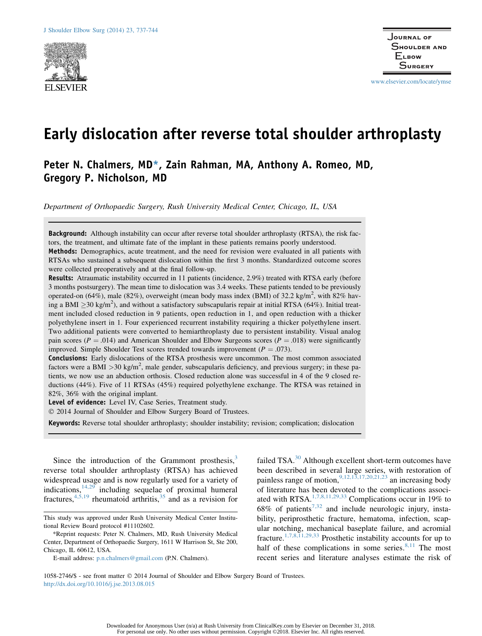

www.elsevier.com/locate/ymse

# Early dislocation after reverse total shoulder arthroplasty

Peter N. Chalmers, MD\*, Zain Rahman, MA, Anthony A. Romeo, MD, Gregory P. Nicholson, MD

Department of Orthopaedic Surgery, Rush University Medical Center, Chicago, IL, USA

**Background:** Although instability can occur after reverse total shoulder arthroplasty (RTSA), the risk factors, the treatment, and ultimate fate of the implant in these patients remains poorly understood.

Methods: Demographics, acute treatment, and the need for revision were evaluated in all patients with RTSAs who sustained a subsequent dislocation within the first 3 months. Standardized outcome scores were collected preoperatively and at the final follow-up.

Results: Atraumatic instability occurred in 11 patients (incidence, 2.9%) treated with RTSA early (before 3 months postsurgery). The mean time to dislocation was 3.4 weeks. These patients tended to be previously operated-on (64%), male (82%), overweight (mean body mass index (BMI) of 32.2 kg/m<sup>2</sup>, with 82% having a BMI  $\geq$ 30 kg/m<sup>2</sup>), and without a satisfactory subscapularis repair at initial RTSA (64%). Initial treatment included closed reduction in 9 patients, open reduction in 1, and open reduction with a thicker polyethylene insert in 1. Four experienced recurrent instability requiring a thicker polyethylene insert. Two additional patients were converted to hemiarthroplasty due to persistent instability. Visual analog pain scores ( $P = .014$ ) and American Shoulder and Elbow Surgeons scores ( $P = .018$ ) were significantly improved. Simple Shoulder Test scores trended towards improvement ( $P = .073$ ).

Conclusions: Early dislocations of the RTSA prosthesis were uncommon. The most common associated factors were a BMI > 30 kg/m<sup>2</sup>, male gender, subscapularis deficiency, and previous surgery; in these patients, we now use an abduction orthosis. Closed reduction alone was successful in 4 of the 9 closed reductions (44%). Five of 11 RTSAs (45%) required polyethylene exchange. The RTSA was retained in 82%, 36% with the original implant.

Level of evidence: Level IV, Case Series, Treatment study.

2014 Journal of Shoulder and Elbow Surgery Board of Trustees.

Keywords: Reverse total shoulder arthroplasty; shoulder instability; revision; complication; dislocation

Since the introduction of the Grammont prosthesis, $3\overline{3}$ reverse total shoulder arthroplasty (RTSA) has achieved widespread usage and is now regularly used for a variety of indications,  $14,29$  including sequelae of proximal humeral fractures,  $4,5,19$  rheumatoid arthritis,  $35$  and as a revision for

failed TSA.<sup>30</sup> Although excellent short-term outcomes have been described in several large series, with restoration of painless range of motion,  $9,12,13,17,20,21,23$  an increasing body of literature has been devoted to the complications associated with RTSA.<sup>1,7,8,11,29,33</sup> Complications occur in 19% to 68% of patients<sup>7,32</sup> and include neurologic injury, instability, periprosthetic fracture, hematoma, infection, scapular notching, mechanical baseplate failure, and acromial fracture.<sup>1,7,8,11,29,33</sup> Prosthetic instability accounts for up to half of these complications in some series. $8,11$  The most recent series and literature analyses estimate the risk of

1058-2746/\$ - see front matter 2014 Journal of Shoulder and Elbow Surgery Board of Trustees. http://dx.doi.org/10.1016/j.jse.2013.08.015

This study was approved under Rush University Medical Center Institutional Review Board protocol #11102602.

<sup>\*</sup>Reprint requests: Peter N. Chalmers, MD, Rush University Medical Center, Department of Orthopaedic Surgery, 1611 W Harrison St, Ste 200, Chicago, IL 60612, USA.

E-mail address: p.n.chalmers@gmail.com (P.N. Chalmers).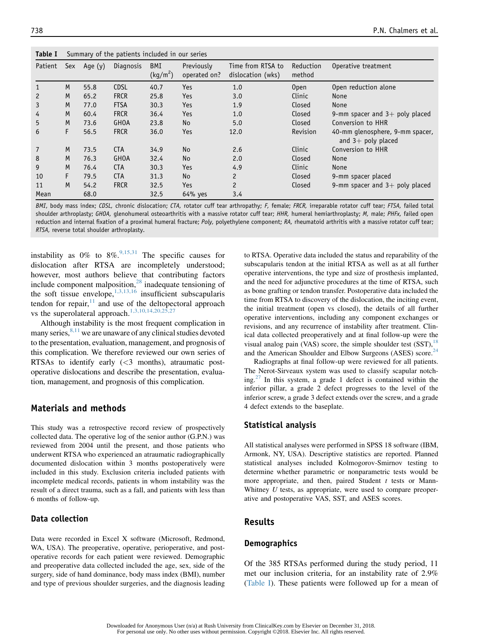Table I Summary of the patients included in our series

| Patient        | Sex | Age $(y)$ | Diagnosis   | BMI<br>(kg/m <sup>2</sup> ) | Previously<br>operated on? | Time from RTSA to<br>dislocation (wks) | Reduction<br>method | Operative treatment                                     |
|----------------|-----|-----------|-------------|-----------------------------|----------------------------|----------------------------------------|---------------------|---------------------------------------------------------|
| $\mathbf{1}$   | M   | 55.8      | CDSL        | 40.7                        | Yes                        | 1.0                                    | Open                | Open reduction alone                                    |
| $\overline{c}$ | M   | 65.2      | <b>FRCR</b> | 25.8                        | Yes                        | 3.0                                    | Clinic              | <b>None</b>                                             |
| 3              | M   | 77.0      | <b>FTSA</b> | 30.3                        | Yes                        | 1.9                                    | Closed              | <b>None</b>                                             |
| 4              | M   | 60.4      | <b>FRCR</b> | 36.4                        | Yes                        | 1.0                                    | Closed              | 9-mm spacer and $3+$ poly placed                        |
| 5              | M   | 73.6      | <b>GHOA</b> | 23.8                        | N <sub>o</sub>             | 5.0                                    | Closed              | Conversion to HHR                                       |
| 6              | F   | 56.5      | <b>FRCR</b> | 36.0                        | Yes                        | 12.0                                   | Revision            | 40-mm glenosphere, 9-mm spacer,<br>and $3+$ poly placed |
| $\overline{7}$ | M   | 73.5      | <b>CTA</b>  | 34.9                        | N <sub>o</sub>             | 2.6                                    | Clinic              | Conversion to HHR                                       |
| 8              | M   | 76.3      | <b>GHOA</b> | 32.4                        | N <sub>o</sub>             | 2.0                                    | Closed              | None                                                    |
| 9              | M   | 76.4      | <b>CTA</b>  | 30.3                        | Yes                        | 4.9                                    | Clinic              | None                                                    |
| 10             | F   | 79.5      | <b>CTA</b>  | 31.3                        | No                         | $\overline{c}$                         | Closed              | 9-mm spacer placed                                      |
| 11             | M   | 54.2      | <b>FRCR</b> | 32.5                        | Yes                        | $\overline{c}$                         | Closed              | 9-mm spacer and $3+$ poly placed                        |
| Mean           |     | 68.0      |             | 32.5                        | $64%$ yes                  | 3.4                                    |                     |                                                         |

BMI, body mass index; CDSL, chronic dislocation; CTA, rotator cuff tear arthropathy; F, female; FRCR, irreparable rotator cuff tear; FTSA, failed total shoulder arthroplasty; GHOA, glenohumeral osteoarthritis with a massive rotator cuff tear; HHR, humeral hemiarthroplasty; M, male; PHFx, failed open reduction and internal fixation of a proximal humeral fracture; Poly, polyethylene component; RA, rheumatoid arthritis with a massive rotator cuff tear; RTSA, reverse total shoulder arthroplasty.

instability as  $0\%$  to  $8\%$ .<sup>9,15,31</sup> The specific causes for dislocation after RTSA are incompletely understood; however, most authors believe that contributing factors include component malposition, $28$  inadequate tensioning of the soft tissue envelope,  $1,3,13,16$  insufficient subscapularis tendon for repair, $11$  and use of the deltopectoral approach vs the superolateral approach.<sup>1,3,10,14,20,25</sup>

Although instability is the most frequent complication in many series,  $8,11$  we are unaware of any clinical studies devoted to the presentation, evaluation, management, and prognosis of this complication. We therefore reviewed our own series of RTSAs to identify early  $( $3$  months), atraumatic post$ operative dislocations and describe the presentation, evaluation, management, and prognosis of this complication.

# Materials and methods

This study was a retrospective record review of prospectively collected data. The operative log of the senior author (G.P.N.) was reviewed from 2004 until the present, and those patients who underwent RTSA who experienced an atraumatic radiographically documented dislocation within 3 months postoperatively were included in this study. Exclusion criteria included patients with incomplete medical records, patients in whom instability was the result of a direct trauma, such as a fall, and patients with less than 6 months of follow-up.

## Data collection

Data were recorded in Excel X software (Microsoft, Redmond, WA, USA). The preoperative, operative, perioperative, and postoperative records for each patient were reviewed. Demographic and preoperative data collected included the age, sex, side of the surgery, side of hand dominance, body mass index (BMI), number and type of previous shoulder surgeries, and the diagnosis leading to RTSA. Operative data included the status and reparability of the subscapularis tendon at the initial RTSA as well as at all further operative interventions, the type and size of prosthesis implanted, and the need for adjunctive procedures at the time of RTSA, such as bone grafting or tendon transfer. Postoperative data included the time from RTSA to discovery of the dislocation, the inciting event, the initial treatment (open vs closed), the details of all further operative interventions, including any component exchanges or revisions, and any recurrence of instability after treatment. Clinical data collected preoperatively and at final follow-up were the visual analog pain (VAS) score, the simple shoulder test  $(SST)$ ,  $^{18}$ and the American Shoulder and Elbow Surgeons (ASES) score.<sup>24</sup>

Radiographs at final follow-up were reviewed for all patients. The Nerot-Sirveaux system was used to classify scapular notching.<sup>27</sup> In this system, a grade 1 defect is contained within the inferior pillar, a grade 2 defect progresses to the level of the inferior screw, a grade 3 defect extends over the screw, and a grade 4 defect extends to the baseplate.

#### Statistical analysis

All statistical analyses were performed in SPSS 18 software (IBM, Armonk, NY, USA). Descriptive statistics are reported. Planned statistical analyses included Kolmogorov-Smirnov testing to determine whether parametric or nonparametric tests would be more appropriate, and then, paired Student  $t$  tests or Mann-Whitney  $U$  tests, as appropriate, were used to compare preoperative and postoperative VAS, SST, and ASES scores.

# Results

## Demographics

Of the 385 RTSAs performed during the study period, 11 met our inclusion criteria, for an instability rate of 2.9% (Table I). These patients were followed up for a mean of

Downloaded for Anonymous User (n/a) at Rush University from ClinicalKey.com by Elsevier on December 31, 2018. For personal use only. No other uses without permission. Copyright ©2018. Elsevier Inc. All rights reserved.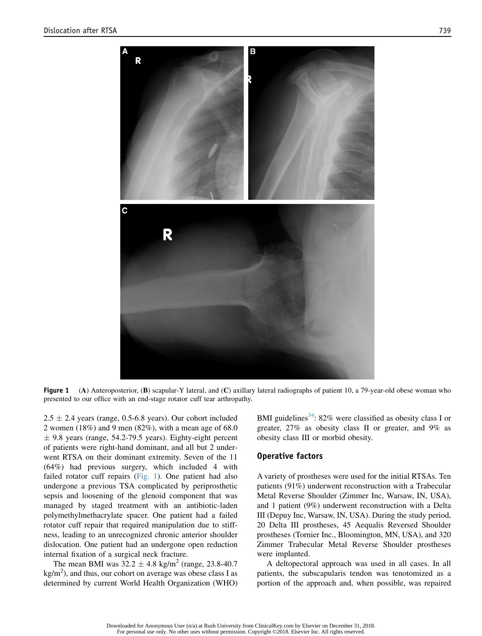

Figure 1 (A) Anteroposterior, (B) scapular-Y lateral, and (C) axillary lateral radiographs of patient 10, a 79-year-old obese woman who presented to our office with an end-stage rotator cuff tear arthropathy.

 $2.5 \pm 2.4$  years (range, 0.5-6.8 years). Our cohort included 2 women (18%) and 9 men (82%), with a mean age of 68.0  $\pm$  9.8 years (range, 54.2-79.5 years). Eighty-eight percent of patients were right-hand dominant, and all but 2 underwent RTSA on their dominant extremity. Seven of the 11 (64%) had previous surgery, which included 4 with failed rotator cuff repairs (Fig. 1). One patient had also undergone a previous TSA complicated by periprosthetic sepsis and loosening of the glenoid component that was managed by staged treatment with an antibiotic-laden polymethylmethacrylate spacer. One patient had a failed rotator cuff repair that required manipulation due to stiffness, leading to an unrecognized chronic anterior shoulder dislocation. One patient had an undergone open reduction internal fixation of a surgical neck fracture.

The mean BMI was  $32.2 \pm 4.8$  kg/m<sup>2</sup> (range, 23.8-40.7)  $\text{kg/m}^2$ ), and thus, our cohort on average was obese class I as determined by current World Health Organization (WHO) BMI guidelines<sup>34</sup>: 82% were classified as obesity class I or greater, 27% as obesity class II or greater, and 9% as obesity class III or morbid obesity.

## Operative factors

A variety of prostheses were used for the initial RTSAs. Ten patients (91%) underwent reconstruction with a Trabecular Metal Reverse Shoulder (Zimmer Inc, Warsaw, IN, USA), and 1 patient (9%) underwent reconstruction with a Delta III (Depuy Inc, Warsaw, IN, USA). During the study period, 20 Delta III prostheses, 45 Aequalis Reversed Shoulder prostheses (Tornier Inc., Bloomington, MN, USA), and 320 Zimmer Trabecular Metal Reverse Shoulder prostheses were implanted.

A deltopectoral approach was used in all cases. In all patients, the subscapularis tendon was tenotomized as a portion of the approach and, when possible, was repaired

Downloaded for Anonymous User (n/a) at Rush University from ClinicalKey.com by Elsevier on December 31, 2018. For personal use only. No other uses without permission. Copyright ©2018. Elsevier Inc. All rights reserved.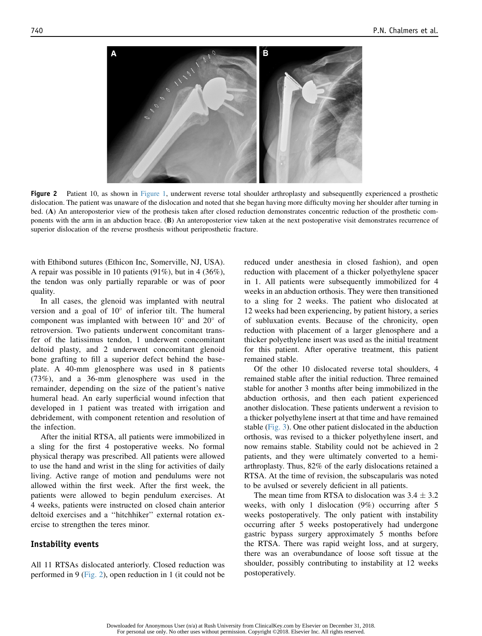

Figure 2 Patient 10, as shown in Figure 1, underwent reverse total shoulder arthroplasty and subsequentlly experienced a prosthetic dislocation. The patient was unaware of the dislocation and noted that she began having more difficulty moving her shoulder after turning in bed. (A) An anteroposterior view of the prothesis taken after closed reduction demonstrates concentric reduction of the prosthetic components with the arm in an abduction brace. (B) An anteroposterior view taken at the next postoperative visit demonstrates recurrence of superior dislocation of the reverse prosthesis without periprosthetic fracture.

with Ethibond sutures (Ethicon Inc, Somerville, NJ, USA). A repair was possible in 10 patients (91%), but in 4 (36%), the tendon was only partially reparable or was of poor quality.

In all cases, the glenoid was implanted with neutral version and a goal of  $10^{\circ}$  of inferior tilt. The humeral component was implanted with between  $10^{\circ}$  and  $20^{\circ}$  of retroversion. Two patients underwent concomitant transfer of the latissimus tendon, 1 underwent concomitant deltoid plasty, and 2 underwent concomitant glenoid bone grafting to fill a superior defect behind the baseplate. A 40-mm glenosphere was used in 8 patients (73%), and a 36-mm glenosphere was used in the remainder, depending on the size of the patient's native humeral head. An early superficial wound infection that developed in 1 patient was treated with irrigation and debridement, with component retention and resolution of the infection.

After the initial RTSA, all patients were immobilized in a sling for the first 4 postoperative weeks. No formal physical therapy was prescribed. All patients were allowed to use the hand and wrist in the sling for activities of daily living. Active range of motion and pendulums were not allowed within the first week. After the first week, the patients were allowed to begin pendulum exercises. At 4 weeks, patients were instructed on closed chain anterior deltoid exercises and a ''hitchhiker'' external rotation exercise to strengthen the teres minor.

#### Instability events

All 11 RTSAs dislocated anteriorly. Closed reduction was performed in 9 (Fig. 2), open reduction in 1 (it could not be reduced under anesthesia in closed fashion), and open reduction with placement of a thicker polyethylene spacer in 1. All patients were subsequently immobilized for 4 weeks in an abduction orthosis. They were then transitioned to a sling for 2 weeks. The patient who dislocated at 12 weeks had been experiencing, by patient history, a series of subluxation events. Because of the chronicity, open reduction with placement of a larger glenosphere and a thicker polyethylene insert was used as the initial treatment for this patient. After operative treatment, this patient remained stable.

Of the other 10 dislocated reverse total shoulders, 4 remained stable after the initial reduction. Three remained stable for another 3 months after being immobilized in the abduction orthosis, and then each patient experienced another dislocation. These patients underwent a revision to a thicker polyethylene insert at that time and have remained stable (Fig. 3). One other patient dislocated in the abduction orthosis, was revised to a thicker polyethylene insert, and now remains stable. Stability could not be achieved in 2 patients, and they were ultimately converted to a hemiarthroplasty. Thus, 82% of the early dislocations retained a RTSA. At the time of revision, the subscapularis was noted to be avulsed or severely deficient in all patients.

The mean time from RTSA to dislocation was  $3.4 \pm 3.2$ weeks, with only 1 dislocation (9%) occurring after 5 weeks postoperatively. The only patient with instability occurring after 5 weeks postoperatively had undergone gastric bypass surgery approximately 5 months before the RTSA. There was rapid weight loss, and at surgery, there was an overabundance of loose soft tissue at the shoulder, possibly contributing to instability at 12 weeks postoperatively.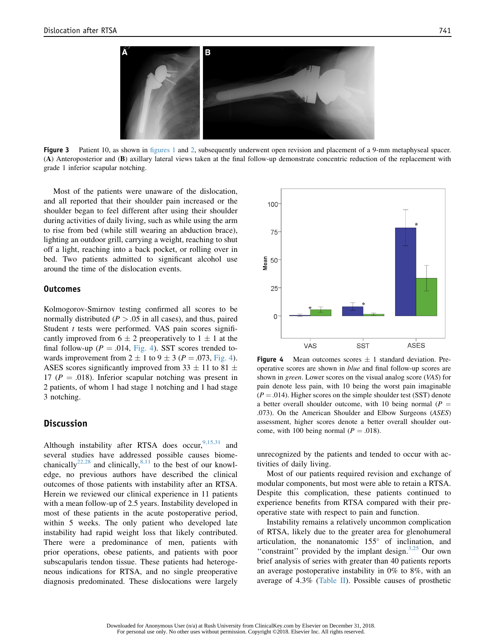

Figure 3 Patient 10, as shown in figures 1 and 2, subsequently underwent open revision and placement of a 9-mm metaphyseal spacer. (A) Anteroposterior and (B) axillary lateral views taken at the final follow-up demonstrate concentric reduction of the replacement with grade 1 inferior scapular notching.

Most of the patients were unaware of the dislocation, and all reported that their shoulder pain increased or the shoulder began to feel different after using their shoulder during activities of daily living, such as while using the arm to rise from bed (while still wearing an abduction brace), lighting an outdoor grill, carrying a weight, reaching to shut off a light, reaching into a back pocket, or rolling over in bed. Two patients admitted to significant alcohol use around the time of the dislocation events.

#### **Outcomes**

Kolmogorov-Smirnov testing confirmed all scores to be normally distributed ( $P > .05$  in all cases), and thus, paired Student *t* tests were performed. VAS pain scores significantly improved from  $6 \pm 2$  preoperatively to  $1 \pm 1$  at the final follow-up ( $P = .014$ , Fig. 4). SST scores trended towards improvement from  $2 \pm 1$  to  $9 \pm 3$  ( $P = .073$ , Fig. 4). ASES scores significantly improved from 33  $\pm$  11 to 81  $\pm$ 17 ( $P = .018$ ). Inferior scapular notching was present in 2 patients, of whom 1 had stage 1 notching and 1 had stage 3 notching.

# **Discussion**

Although instability after RTSA does occur,  $9,15,31$  and several studies have addressed possible causes biomechanically<sup>22,28</sup> and clinically,<sup>8,11</sup> to the best of our knowledge, no previous authors have described the clinical outcomes of those patients with instability after an RTSA. Herein we reviewed our clinical experience in 11 patients with a mean follow-up of 2.5 years. Instability developed in most of these patients in the acute postoperative period, within 5 weeks. The only patient who developed late instability had rapid weight loss that likely contributed. There were a predominance of men, patients with prior operations, obese patients, and patients with poor subscapularis tendon tissue. These patients had heterogeneous indications for RTSA, and no single preoperative diagnosis predominated. These dislocations were largely



**Figure 4** Mean outcomes scores  $\pm$  1 standard deviation. Preoperative scores are shown in blue and final follow-up scores are shown in green. Lower scores on the visual analog score (VAS) for pain denote less pain, with 10 being the worst pain imaginable  $(P = .014)$ . Higher scores on the simple shoulder test (SST) denote a better overall shoulder outcome, with 10 being normal ( $P =$ .073). On the American Shoulder and Elbow Surgeons (ASES) assessment, higher scores denote a better overall shoulder outcome, with 100 being normal ( $P = .018$ ).

unrecognized by the patients and tended to occur with activities of daily living.

Most of our patients required revision and exchange of modular components, but most were able to retain a RTSA. Despite this complication, these patients continued to experience benefits from RTSA compared with their preoperative state with respect to pain and function.

Instability remains a relatively uncommon complication of RTSA, likely due to the greater area for glenohumeral articulation, the nonanatomic  $155^{\circ}$  of inclination, and "constraint" provided by the implant design. $3,25$  Our own brief analysis of series with greater than 40 patients reports an average postoperative instability in 0% to 8%, with an average of 4.3% (Table II). Possible causes of prosthetic

Downloaded for Anonymous User (n/a) at Rush University from ClinicalKey.com by Elsevier on December 31, 2018. For personal use only. No other uses without permission. Copyright ©2018. Elsevier Inc. All rights reserved.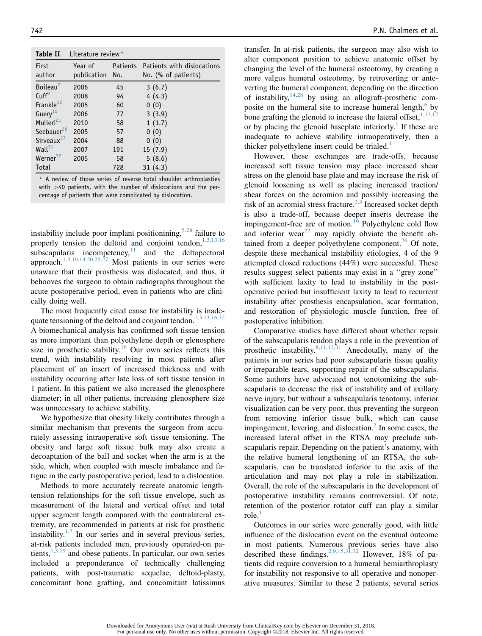| Table II               | Literature review*     |                 |                                                   |  |  |  |  |
|------------------------|------------------------|-----------------|---------------------------------------------------|--|--|--|--|
| <b>First</b><br>author | Year of<br>publication | Patients<br>No. | Patients with dislocations<br>No. (% of patients) |  |  |  |  |
| Boileau <sup>2</sup>   | 2006                   | 45              | 3(6.7)                                            |  |  |  |  |
| Cuff <sup>9</sup>      | 2008                   | 94              | 4(4.3)                                            |  |  |  |  |
| Frankle <sup>12</sup>  | 2005                   | 60              | 0(0)                                              |  |  |  |  |
| Guery <sup>15</sup>    | 2006                   | 77              | 3(3.9)                                            |  |  |  |  |
| Mulieri <sup>21</sup>  | 2010                   | 58              | 1(1.7)                                            |  |  |  |  |
| Seebauer <sup>26</sup> | 2005                   | 57              | 0(0)                                              |  |  |  |  |
| Sirveaux <sup>27</sup> | 2004                   | 88              | 0(0)                                              |  |  |  |  |
| Wall <sup>31</sup>     | 2007                   | 191             | 15(7.9)                                           |  |  |  |  |
| Werner <sup>32</sup>   | 2005                   | 58              | 5(8.6)                                            |  |  |  |  |
| Total                  |                        | 728             | 31(4.3)                                           |  |  |  |  |

\* A review of those series of reverse total shoulder arthroplasties with >40 patients, with the number of dislocations and the percentage of patients that were complicated by dislocation.

instability include poor implant positionining,  $5,28$  failure to properly tension the deltoid and conjoint tendon,  $1,3,13,16$ subscapularis incompetency, $11$  and the deltopectoral approach.1,3,10,14,20,25,27 Most patients in our series were unaware that their prosthesis was dislocated, and thus, it behooves the surgeon to obtain radiographs throughout the acute postoperative period, even in patients who are clinically doing well.

The most frequently cited cause for instability is inadequate tensioning of the deltoid and conjoint tendon.<sup>1,3,13,16,32</sup> A biomechanical analysis has confirmed soft tissue tension as more important than polyethylene depth or glenosphere size in prosthetic stability.<sup>16</sup> Our own series reflects this trend, with instability resolving in most patients after placement of an insert of increased thickness and with instability occurring after late loss of soft tissue tension in 1 patient. In this patient we also increased the glenosphere diameter; in all other patients, increasing glenosphere size was unnecessary to achieve stability.

We hypothesize that obesity likely contributes through a similar mechanism that prevents the surgeon from accurately assessing intraoperative soft tissue tensioning. The obesity and large soft tissue bulk may also create a decoaptation of the ball and socket when the arm is at the side, which, when coupled with muscle imbalance and fatigue in the early postoperative period, lead to a dislocation.

Methods to more accurately recreate anatomic lengthtension relationships for the soft tissue envelope, such as measurement of the lateral and vertical offset and total upper segment length compared with the contralateral extremity, are recommended in patients at risk for prosthetic instability. $1,7$  In our series and in several previous series, at-risk patients included men, previously operated-on patients, $1,3,19$  and obese patients. In particular, our own series included a preponderance of technically challenging patients, with post-traumatic sequelae, deltoid-plasty, concomitant bone grafting, and concomitant latissimus transfer. In at-risk patients, the surgeon may also wish to alter component position to achieve anatomic offset by changing the level of the humeral osteotomy, by creating a more valgus humeral osteotomy, by retroverting or anteverting the humeral component, depending on the direction of instability, $14,28$  by using an allograft-prosthetic composite on the humeral site to increase humeral length, $6$  by bone grafting the glenoid to increase the lateral offset,  $1,12,17$ or by placing the glenoid baseplate inferiorly.<sup>1</sup> If these are inadequate to achieve stability intraoperatively, then a thicker polyethylene insert could be trialed. $<sup>1</sup>$ </sup>

However, these exchanges are trade-offs, because increased soft tissue tension may place increased shear stress on the glenoid base plate and may increase the risk of glenoid loosening as well as placing increased traction/ shear forces on the acromion and possibly increasing the risk of an acromial stress fracture.<sup>2,3</sup> Increased socket depth is also a trade-off, because deeper inserts decrease the impingement-free arc of motion.<sup>16</sup> Polyethylene cold flow and inferior wear $^{22}$  may rapidly obviate the benefit obtained from a deeper polyethylene component. $^{26}$  Of note, despite these mechanical instability etiologies, 4 of the 9 attempted closed reductions (44%) were successful. These results suggest select patients may exist in a ''grey zone'' with sufficient laxity to lead to instability in the postoperative period but insufficient laxity to lead to recurrent instability after prosthesis encapsulation, scar formation, and restoration of physiologic muscle function, free of postoperative inhibition.

Comparative studies have differed about whether repair of the subscapularis tendon plays a role in the prevention of prosthetic instability. $8,11,13,31$  Anecdotally, many of the patients in our series had poor subscapularis tissue quality or irreparable tears, supporting repair of the subscapularis. Some authors have advocated not tenotomizing the subscapularis to decrease the risk of instability and of axillary nerve injury, but without a subscapularis tenotomy, inferior visualization can be very poor, thus preventing the surgeon from removing inferior tissue bulk, which can cause impingement, levering, and dislocation.<sup>7</sup> In some cases, the increased lateral offset in the RTSA may preclude subscapularis repair. Depending on the patient's anatomy, with the relative humeral lengthening of an RTSA, the subscapularis, can be translated inferior to the axis of the articulation and may not play a role in stabilization. Overall, the role of the subscapularis in the development of postoperative instability remains controversial. Of note, retention of the posterior rotator cuff can play a similar role. $<sup>1</sup>$ </sup>

Outcomes in our series were generally good, with little influence of the dislocation event on the eventual outcome in most patients. Numerous previous series have also described these findings.<sup>2,9,15,31,32</sup> However, 18% of patients did require conversion to a humeral hemiarthroplasty for instability not responsive to all operative and nonoperative measures. Similar to these 2 patients, several series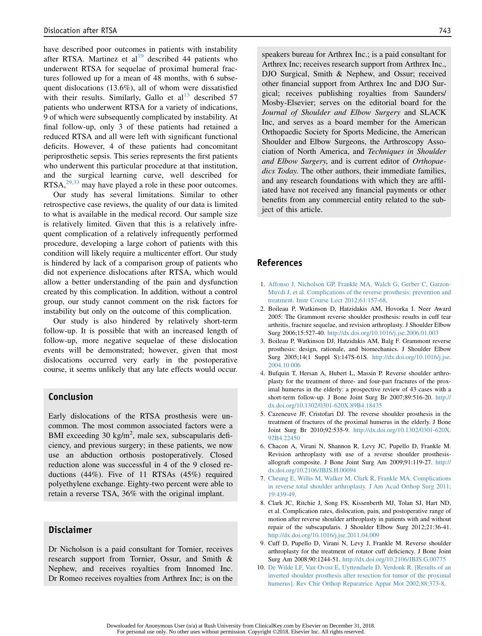have described poor outcomes in patients with instability after RTSA. Martinez et  $al<sup>19</sup>$  described 44 patients who underwent RTSA for sequelae of proximal humeral fractures followed up for a mean of 48 months, with 6 subsequent dislocations (13.6%), all of whom were dissatisfied with their results. Similarly, Gallo et  $al<sup>13</sup>$  described 57 patients who underwent RTSA for a variety of indications, 9 of which were subsequently complicated by instability. At final follow-up, only 3 of these patients had retained a reduced RTSA and all were left with significant functional deficits. However, 4 of these patients had concomitant periprosthetic sepsis. This series represents the first patients who underwent this particular procedure at that institution, and the surgical learning curve, well described for RTSA, $29,33$  may have played a role in these poor outcomes.

Our study has several limitations. Similar to other retrospective case reviews, the quality of our data is limited to what is available in the medical record. Our sample size is relatively limited. Given that this is a relatively infrequent complication of a relatively infrequently performed procedure, developing a large cohort of patients with this condition will likely require a multicenter effort. Our study is hindered by lack of a comparison group of patients who did not experience dislocations after RTSA, which would allow a better understanding of the pain and dysfunction created by this complication. In addition, without a control group, our study cannot comment on the risk factors for instability but only on the outcome of this complication.

Our study is also hindered by relatively short-term follow-up. It is possible that with an increased length of follow-up, more negative sequelae of these dislocation events will be demonstrated; however, given that most dislocations occurred very early in the postoperative course, it seems unlikely that any late effects would occur.

## Conclusion

Early dislocations of the RTSA prosthesis were uncommon. The most common associated factors were a BMI exceeding  $30 \text{ kg/m}^2$ , male sex, subscapularis deficiency, and previous surgery; in these patients, we now use an abduction orthosis postoperatively. Closed reduction alone was successful in 4 of the 9 closed reductions (44%). Five of 11 RTSAs (45%) required polyethylene exchange. Eighty-two percent were able to retain a reverse TSA, 36% with the original implant.

# Disclaimer

Dr Nicholson is a paid consultant for Tornier, receives research support from Tornier, Ossur, and Smith & Nephew, and receives royalties from Innomed Inc. Dr Romeo receives royalties from Arthrex Inc; is on the

speakers bureau for Arthrex Inc.; is a paid consultant for Arthrex Inc; receives research support from Arthrex Inc., DJO Surgical, Smith & Nephew, and Ossur; received other financial support from Arthrex Inc and DJO Surgical; receives publishing royalties from Saunders/ Mosby-Elsevier; serves on the editorial board for the Journal of Shoulder and Elbow Surgery and SLACK Inc, and serves as a board member for the American Orthopaedic Society for Sports Medicine, the American Shoulder and Elbow Surgeons, the Arthroscopy Association of North America, and Techniques in Shoulder and Elbow Surgery, and is current editor of Orthopaedics Today. The other authors, their immediate families, and any research foundations with which they are affiliated have not received any financial payments or other benefits from any commercial entity related to the subject of this article.

## References

- 1. Affonso J, Nicholson GP, Frankle MA, Walch G, Gerber C, Garzon-Muvdi J, et al. Complications of the reverse prosthesis: prevention and treatment. Instr Course Lect 2012;61:157-68.
- 2. Boileau P, Watkinson D, Hatzidakis AM, Hovorka I. Neer Award 2005: The Grammont reverse shoulder prosthesis: results in cuff tear arthritis, fracture sequelae, and revision arthroplasty. J Shoulder Elbow Surg 2006;15:527-40. http://dx.doi.org/10.1016/j.jse.2006.01.003
- 3. Boileau P, Watkinson DJ, Hatzidakis AM, Balg F. Grammont reverse prosthesis: design, rationale, and biomechanics. J Shoulder Elbow Surg 2005;14(1 Suppl S):147S-61S. http://dx.doi.org/10.1016/j.jse. 2004.10.006
- 4. Bufquin T, Hersan A, Hubert L, Massin P. Reverse shoulder arthroplasty for the treatment of three- and four-part fractures of the proximal humerus in the elderly: a prospective review of 43 cases with a short-term follow-up. J Bone Joint Surg Br 2007;89:516-20. http:// dx.doi.org/10.1302/0301-620X.89B4.18435
- 5. Cazeneuve JF, Cristofari DJ. The reverse shoulder prosthesis in the treatment of fractures of the proximal humerus in the elderly. J Bone Joint Surg Br 2010;92:535-9. http://dx.doi.org/10.1302/0301-620X. 92B4.22450
- 6. Chacon A, Virani N, Shannon R, Levy JC, Pupello D, Frankle M. Revision arthroplasty with use of a reverse shoulder prosthesisallograft composite. J Bone Joint Surg Am 2009;91:119-27. http:// dx.doi.org/10.2106/JBJS.H.00094
- 7. Cheung E, Willis M, Walker M, Clark R, Frankle MA. Complications in reverse total shoulder arthroplasty. J Am Acad Orthop Surg 2011; 19:439-49.
- 8. Clark JC, Ritchie J, Song FS, Kissenberth MJ, Tolan SJ, Hart ND, et al. Complication rates, dislocation, pain, and postoperative range of motion after reverse shoulder arthroplasty in patients with and without repair of the subscapularis. J Shoulder Elbow Surg 2012;21:36-41. http://dx.doi.org/10.1016/j.jse.2011.04.009
- 9. Cuff D, Pupello D, Virani N, Levy J, Frankle M. Reverse shoulder arthroplasty for the treatment of rotator cuff deficiency. J Bone Joint Surg Am 2008;90:1244-51. http://dx.doi.org/10.2106/JBJS.G.00775
- 10. De Wilde LF, Van Ovost E, Uyttendaele D, Verdonk R. [Results of an inverted shoulder prosthesis after resection for tumor of the proximal humerus]. Rev Chir Orthop Reparatrice Appar Mot 2002;88:373-8.